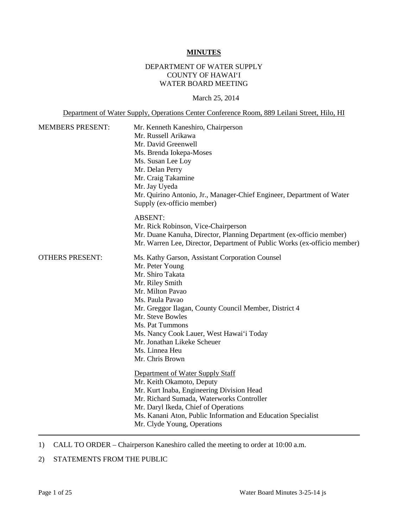#### **MINUTES**

# DEPARTMENT OF WATER SUPPLY COUNTY OF HAWAI'I WATER BOARD MEETING

#### March 25, 2014

Department of Water Supply, Operations Center Conference Room, 889 Leilani Street, Hilo, HI

| <b>MEMBERS PRESENT:</b> | Mr. Kenneth Kaneshiro, Chairperson<br>Mr. Russell Arikawa<br>Mr. David Greenwell<br>Ms. Brenda Iokepa-Moses<br>Ms. Susan Lee Loy<br>Mr. Delan Perry<br>Mr. Craig Takamine<br>Mr. Jay Uyeda<br>Mr. Quirino Antonio, Jr., Manager-Chief Engineer, Department of Water<br>Supply (ex-officio member)                                                                |
|-------------------------|------------------------------------------------------------------------------------------------------------------------------------------------------------------------------------------------------------------------------------------------------------------------------------------------------------------------------------------------------------------|
|                         | <b>ABSENT:</b><br>Mr. Rick Robinson, Vice-Chairperson<br>Mr. Duane Kanuha, Director, Planning Department (ex-officio member)<br>Mr. Warren Lee, Director, Department of Public Works (ex-officio member)                                                                                                                                                         |
| <b>OTHERS PRESENT:</b>  | Ms. Kathy Garson, Assistant Corporation Counsel<br>Mr. Peter Young<br>Mr. Shiro Takata<br>Mr. Riley Smith<br>Mr. Milton Pavao<br>Ms. Paula Pavao<br>Mr. Greggor Ilagan, County Council Member, District 4<br>Mr. Steve Bowles<br>Ms. Pat Tummons<br>Ms. Nancy Cook Lauer, West Hawai'i Today<br>Mr. Jonathan Likeke Scheuer<br>Ms. Linnea Heu<br>Mr. Chris Brown |
|                         | Department of Water Supply Staff<br>Mr. Keith Okamoto, Deputy<br>Mr. Kurt Inaba, Engineering Division Head<br>Mr. Richard Sumada, Waterworks Controller<br>Mr. Daryl Ikeda, Chief of Operations<br>Ms. Kanani Aton, Public Information and Education Specialist<br>Mr. Clyde Young, Operations                                                                   |

1) CALL TO ORDER – Chairperson Kaneshiro called the meeting to order at 10:00 a.m.

# 2) STATEMENTS FROM THE PUBLIC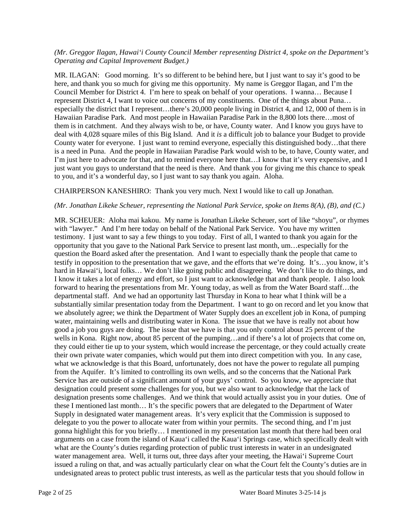#### *(Mr. Greggor Ilagan, Hawai'i County Council Member representing District 4, spoke on the Department's Operating and Capital Improvement Budget.)*

MR. ILAGAN: Good morning. It's so different to be behind here, but I just want to say it's good to be here, and thank you so much for giving me this opportunity. My name is Greggor Ilagan, and I'm the Council Member for District 4. I'm here to speak on behalf of your operations. I wanna… Because I represent District 4, I want to voice out concerns of my constituents. One of the things about Puna… especially the district that I represent…there's 20,000 people living in District 4, and 12, 000 of them is in Hawaiian Paradise Park. And most people in Hawaiian Paradise Park in the 8,800 lots there…most of them is in catchment. And they always wish to be, or have, County water. And I know you guys have to deal with 4,028 square miles of this Big Island. And it *is* a difficult job to balance your Budget to provide County water for everyone. I just want to remind everyone, especially this distinguished body…that there is a need in Puna. And the people in Hawaiian Paradise Park would wish to be, to have, County water, and I'm just here to advocate for that, and to remind everyone here that…I know that it's very expensive, and I just want you guys to understand that the need is there. And thank you for giving me this chance to speak to you, and it's a wonderful day, so I just want to say thank you again. Aloha.

CHAIRPERSON KANESHIRO: Thank you very much. Next I would like to call up Jonathan.

# *(Mr. Jonathan Likeke Scheuer, representing the National Park Service, spoke on Items 8(A), (B), and (C.)*

MR. SCHEUER: Aloha mai kakou. My name is Jonathan Likeke Scheuer, sort of like "shoyu", or rhymes with "lawyer." And I'm here today on behalf of the National Park Service. You have my written testimony. I just want to say a few things to you today. First of all, I wanted to thank you again for the opportunity that you gave to the National Park Service to present last month, um…especially for the question the Board asked after the presentation. And I want to especially thank the people that came to testify in opposition to the presentation that we gave, and the efforts that we're doing. It's…you know, it's hard in Hawai'i, local folks... We don't like going public and disagreeing. We don't like to do things, and I know it takes a lot of energy and effort, so I just want to acknowledge that and thank people. I also look forward to hearing the presentations from Mr. Young today, as well as from the Water Board staff...the departmental staff. And we had an opportunity last Thursday in Kona to hear what I think will be a substantially similar presentation today from the Department. I want to go on record and let you know that we absolutely agree; we think the Department of Water Supply does an excellent job in Kona, of pumping water, maintaining wells and distributing water in Kona. The issue that we have is really not about how good a job you guys are doing. The issue that we have is that you only control about 25 percent of the wells in Kona. Right now, about 85 percent of the pumping…and if there's a lot of projects that come on, they could either tie up to your system, which would increase the percentage, or they could actually create their own private water companies, which would put them into direct competition with you. In any case, what we acknowledge is that this Board, unfortunately, does not have the power to regulate all pumping from the Aquifer. It's limited to controlling its own wells, and so the concerns that the National Park Service has are outside of a significant amount of your guys' control. So you know, we appreciate that designation could present some challenges for you, but we also want to acknowledge that the lack of designation presents some challenges. And we think that would actually assist you in your duties. One of these I mentioned last month… It's the specific powers that are delegated to the Department of Water Supply in designated water management areas. It's very explicit that the Commission is supposed to delegate to you the power to allocate water from within your permits. The second thing, and I'm just gonna highlight this for you briefly… I mentioned in my presentation last month that there had been oral arguments on a case from the island of Kaua'i called the Kaua'i Springs case, which specifically dealt with what are the County's duties regarding protection of public trust interests in water in an undesignated water management area. Well, it turns out, three days after your meeting, the Hawai'i Supreme Court issued a ruling on that, and was actually particularly clear on what the Court felt the County's duties are in undesignated areas to protect public trust interests, as well as the particular tests that you should follow in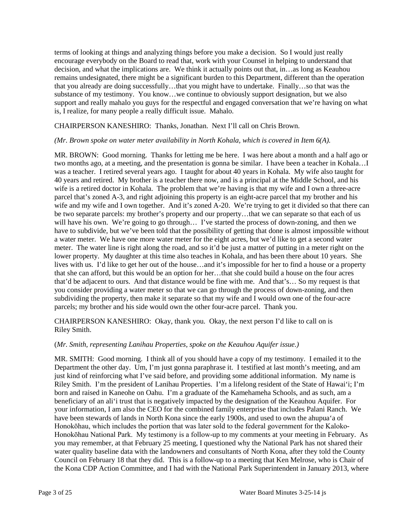terms of looking at things and analyzing things before you make a decision. So I would just really encourage everybody on the Board to read that, work with your Counsel in helping to understand that decision, and what the implications are. We think it actually points out that, in…as long as Keauhou remains undesignated, there might be a significant burden to this Department, different than the operation that you already are doing successfully…that you might have to undertake. Finally…so that was the substance of my testimony. You know…we continue to obviously support designation, but we also support and really mahalo you guys for the respectful and engaged conversation that we're having on what is, I realize, for many people a really difficult issue. Mahalo.

CHAIRPERSON KANESHIRO: Thanks, Jonathan. Next I'll call on Chris Brown.

# *(Mr. Brown spoke on water meter availability in North Kohala, which is covered in Item 6(A).*

MR. BROWN: Good morning. Thanks for letting me be here. I was here about a month and a half ago or two months ago, at a meeting, and the presentation is gonna be similar. I have been a teacher in Kohala…I was a teacher. I retired several years ago. I taught for about 40 years in Kohala. My wife also taught for 40 years and retired. My brother is a teacher there now, and is a principal at the Middle School, and his wife is a retired doctor in Kohala. The problem that we're having is that my wife and I own a three-acre parcel that's zoned A-3, and right adjoining this property is an eight-acre parcel that my brother and his wife and my wife and I own together. And it's zoned A-20. We're trying to get it divided so that there can be two separate parcels: my brother's property and our property…that we can separate so that each of us will have his own. We're going to go through... I've started the process of down-zoning, and then we have to subdivide, but we've been told that the possibility of getting that done is almost impossible without a water meter. We have one more water meter for the eight acres, but we'd like to get a second water meter. The water line is right along the road, and so it'd be just a matter of putting in a meter right on the lower property. My daughter at this time also teaches in Kohala, and has been there about 10 years. She lives with us. I'd like to get her out of the house…and it's impossible for her to find a house or a property that she can afford, but this would be an option for her…that she could build a house on the four acres that'd be adjacent to ours. And that distance would be fine with me. And that's… So my request is that you consider providing a water meter so that we can go through the process of down-zoning, and then subdividing the property, then make it separate so that my wife and I would own one of the four-acre parcels; my brother and his side would own the other four-acre parcel. Thank you.

CHAIRPERSON KANESHIRO: Okay, thank you. Okay, the next person I'd like to call on is Riley Smith.

#### (*Mr. Smith, representing Lanihau Properties, spoke on the Keauhou Aquifer issue.)*

MR. SMITH: Good morning. I think all of you should have a copy of my testimony. I emailed it to the Department the other day. Um, I'm just gonna paraphrase it. I testified at last month's meeting, and am just kind of reinforcing what I've said before, and providing some additional information. My name is Riley Smith. I'm the president of Lanihau Properties. I'm a lifelong resident of the State of Hawai'i; I'm born and raised in Kaneohe on Oahu. I'm a graduate of the Kamehameha Schools, and as such, am a beneficiary of an ali'i trust that is negatively impacted by the designation of the Keauhou Aquifer. For your information, I am also the CEO for the combined family enterprise that includes Palani Ranch. We have been stewards of lands in North Kona since the early 1900s, and used to own the ahupua'a of Honokōhau, which includes the portion that was later sold to the federal government for the Kaloko-Honokōhau National Park. My testimony is a follow-up to my comments at your meeting in February. As you may remember, at that February 25 meeting, I questioned why the National Park has not shared their water quality baseline data with the landowners and consultants of North Kona, after they told the County Council on February 18 that they did. This is a follow-up to a meeting that Ken Melrose, who is Chair of the Kona CDP Action Committee, and I had with the National Park Superintendent in January 2013, where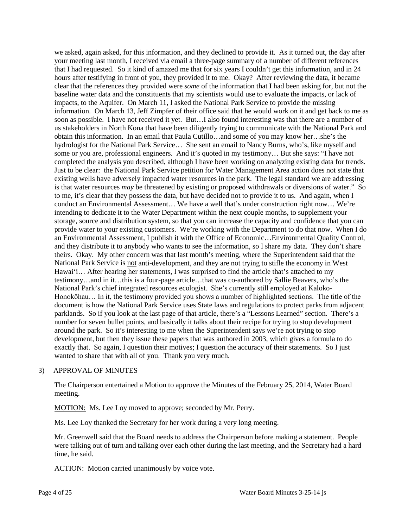we asked, again asked, for this information, and they declined to provide it. As it turned out, the day after your meeting last month, I received via email a three-page summary of a number of different references that I had requested. So it kind of amazed me that for six years I couldn't get this information, and in 24 hours after testifying in front of you, they provided it to me. Okay? After reviewing the data, it became clear that the references they provided were *some* of the information that I had been asking for, but not the baseline water data and the constituents that my scientists would use to evaluate the impacts, or lack of impacts, to the Aquifer. On March 11, I asked the National Park Service to provide the missing information. On March 13, Jeff Zimpfer of their office said that he would work on it and get back to me as soon as possible. I have not received it yet. But…I also found interesting was that there are a number of us stakeholders in North Kona that have been diligently trying to communicate with the National Park and obtain this information. In an email that Paula Cutillo…and some of you may know her…she's the hydrologist for the National Park Service… She sent an email to Nancy Burns, who's, like myself and some or you are, professional engineers. And it's quoted in my testimony… But she says: "I have not completed the analysis you described, although I have been working on analyzing existing data for trends. Just to be clear: the National Park Service petition for Water Management Area action does not state that existing wells have adversely impacted water resources in the park. The legal standard we are addressing is that water resources *may* be threatened by existing or proposed withdrawals or diversions of water." So to me, it's clear that they possess the data, but have decided not to provide it to us. And again, when I conduct an Environmental Assessment… We have a well that's under construction right now… We're intending to dedicate it to the Water Department within the next couple months, to supplement your storage, source and distribution system, so that you can increase the capacity and confidence that you can provide water to your existing customers. We're working with the Department to do that now. When I do an Environmental Assessment, I publish it with the Office of Economic…Environmental Quality Control, and they distribute it to anybody who wants to see the information, so I share my data. They don't share theirs. Okay. My other concern was that last month's meeting, where the Superintendent said that the National Park Service is not anti-development, and they are not trying to stifle the economy in West Hawai'i… After hearing her statements, I was surprised to find the article that's attached to my testimony…and in it…this is a four-page article…that was co-authored by Sallie Beavers, who's the National Park's chief integrated resources ecologist. She's currently still employed at Kaloko-Honokōhau… In it, the testimony provided you shows a number of highlighted sections. The title of the document is how the National Park Service uses State laws and regulations to protect parks from adjacent parklands. So if you look at the last page of that article, there's a "Lessons Learned" section. There's a number for seven bullet points, and basically it talks about their recipe for trying to stop development around the park. So it's interesting to me when the Superintendent says we're not trying to stop development, but then they issue these papers that was authored in 2003, which gives a formula to do exactly that. So again, I question their motives; I question the accuracy of their statements. So I just wanted to share that with all of you. Thank you very much.

#### 3) APPROVAL OF MINUTES

The Chairperson entertained a Motion to approve the Minutes of the February 25, 2014, Water Board meeting.

MOTION: Ms. Lee Loy moved to approve; seconded by Mr. Perry.

Ms. Lee Loy thanked the Secretary for her work during a very long meeting.

Mr. Greenwell said that the Board needs to address the Chairperson before making a statement. People were talking out of turn and talking over each other during the last meeting, and the Secretary had a hard time, he said.

ACTION: Motion carried unanimously by voice vote.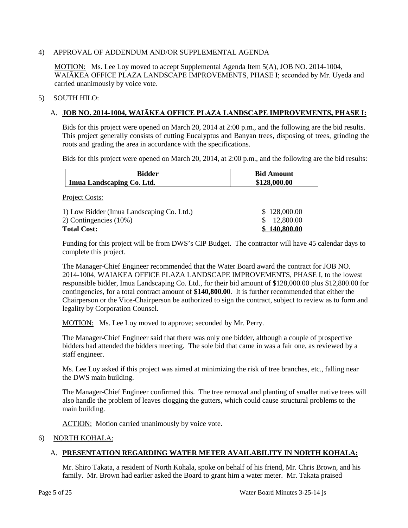### 4) APPROVAL OF ADDENDUM AND/OR SUPPLEMENTAL AGENDA

MOTION: Ms. Lee Loy moved to accept Supplemental Agenda Item 5(A), JOB NO. 2014-1004, WAIĀKEA OFFICE PLAZA LANDSCAPE IMPROVEMENTS, PHASE I; seconded by Mr. Uyeda and carried unanimously by voice vote.

#### 5) SOUTH HILO:

# A. **JOB NO. 2014-1004, WAIĀKEA OFFICE PLAZA LANDSCAPE IMPROVEMENTS, PHASE I:**

Bids for this project were opened on March 20, 2014 at 2:00 p.m., and the following are the bid results. This project generally consists of cutting Eucalyptus and Banyan trees, disposing of trees, grinding the roots and grading the area in accordance with the specifications.

Bids for this project were opened on March 20, 2014, at 2:00 p.m., and the following are the bid results:

| <b>Bidder</b>             | <b>Bid Amount</b> |
|---------------------------|-------------------|
| Imua Landscaping Co. Ltd. | \$128,000.00      |

Project Costs:

| 1) Low Bidder (Imua Landscaping Co. Ltd.) | \$128,000.00        |
|-------------------------------------------|---------------------|
| 2) Contingencies (10%)                    | \$ 12,800.00        |
| <b>Total Cost:</b>                        | <u>\$140,800.00</u> |

Funding for this project will be from DWS's CIP Budget. The contractor will have 45 calendar days to complete this project.

The Manager-Chief Engineer recommended that the Water Board award the contract for JOB NO. 2014-1004, WAIAKEA OFFICE PLAZA LANDSCAPE IMPROVEMENTS, PHASE I, to the lowest responsible bidder, Imua Landscaping Co. Ltd., for their bid amount of \$128,000.00 plus \$12,800.00 for contingencies, for a total contract amount of **\$140,800.00**. It is further recommended that either the Chairperson or the Vice-Chairperson be authorized to sign the contract, subject to review as to form and legality by Corporation Counsel.

MOTION: Ms. Lee Loy moved to approve; seconded by Mr. Perry.

The Manager-Chief Engineer said that there was only one bidder, although a couple of prospective bidders had attended the bidders meeting. The sole bid that came in was a fair one, as reviewed by a staff engineer.

Ms. Lee Loy asked if this project was aimed at minimizing the risk of tree branches, etc., falling near the DWS main building.

The Manager-Chief Engineer confirmed this. The tree removal and planting of smaller native trees will also handle the problem of leaves clogging the gutters, which could cause structural problems to the main building.

ACTION: Motion carried unanimously by voice vote.

#### 6) NORTH KOHALA:

# A. **PRESENTATION REGARDING WATER METER AVAILABILITY IN NORTH KOHALA:**

Mr. Shiro Takata, a resident of North Kohala, spoke on behalf of his friend, Mr. Chris Brown, and his family. Mr. Brown had earlier asked the Board to grant him a water meter. Mr. Takata praised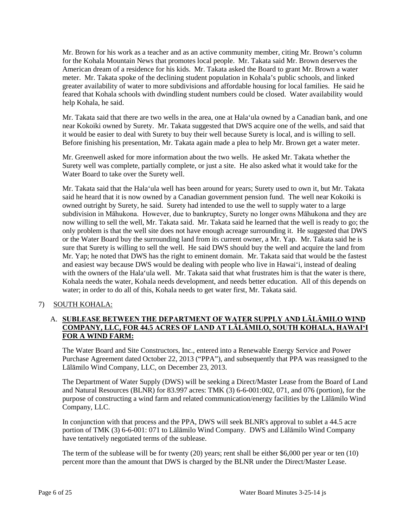Mr. Brown for his work as a teacher and as an active community member, citing Mr. Brown's column for the Kohala Mountain News that promotes local people. Mr. Takata said Mr. Brown deserves the American dream of a residence for his kids. Mr. Takata asked the Board to grant Mr. Brown a water meter. Mr. Takata spoke of the declining student population in Kohala's public schools, and linked greater availability of water to more subdivisions and affordable housing for local families. He said he feared that Kohala schools with dwindling student numbers could be closed. Water availability would help Kohala, he said.

Mr. Takata said that there are two wells in the area, one at Hala'ula owned by a Canadian bank, and one near Kokoiki owned by Surety. Mr. Takata suggested that DWS acquire one of the wells, and said that it would be easier to deal with Surety to buy their well because Surety is local, and is willing to sell. Before finishing his presentation, Mr. Takata again made a plea to help Mr. Brown get a water meter.

Mr. Greenwell asked for more information about the two wells. He asked Mr. Takata whether the Surety well was complete, partially complete, or just a site. He also asked what it would take for the Water Board to take over the Surety well.

Mr. Takata said that the Hala'ula well has been around for years; Surety used to own it, but Mr. Takata said he heard that it is now owned by a Canadian government pension fund. The well near Kokoiki is owned outright by Surety, he said. Surety had intended to use the well to supply water to a large subdivision in Māhukona. However, due to bankruptcy, Surety no longer owns Māhukona and they are now willing to sell the well, Mr. Takata said. Mr. Takata said he learned that the well is ready to go; the only problem is that the well site does not have enough acreage surrounding it. He suggested that DWS or the Water Board buy the surrounding land from its current owner, a Mr. Yap. Mr. Takata said he is sure that Surety is willing to sell the well. He said DWS should buy the well and acquire the land from Mr. Yap; he noted that DWS has the right to eminent domain. Mr. Takata said that would be the fastest and easiest way because DWS would be dealing with people who live in Hawai'i, instead of dealing with the owners of the Hala'ula well. Mr. Takata said that what frustrates him is that the water is there, Kohala needs the water, Kohala needs development, and needs better education. All of this depends on water; in order to do all of this, Kohala needs to get water first, Mr. Takata said.

# 7) SOUTH KOHALA:

# A. **SUBLEASE BETWEEN THE DEPARTMENT OF WATER SUPPLY AND LĀLĀMILO WIND COMPANY, LLC, FOR 44.5 ACRES OF LAND AT LĀLĀMILO, SOUTH KOHALA, HAWAI'I FOR A WIND FARM:**

The Water Board and Site Constructors, Inc., entered into a Renewable Energy Service and Power Purchase Agreement dated October 22, 2013 ("PPA"), and subsequently that PPA was reassigned to the Lālāmilo Wind Company, LLC, on December 23, 2013.

The Department of Water Supply (DWS) will be seeking a Direct/Master Lease from the Board of Land and Natural Resources (BLNR) for 83.997 acres: TMK (3) 6-6-001:002, 071, and 076 (portion), for the purpose of constructing a wind farm and related communication/energy facilities by the Lālāmilo Wind Company, LLC.

In conjunction with that process and the PPA, DWS will seek BLNR's approval to sublet a 44.5 acre portion of TMK (3) 6-6-001: 071 to Lālāmilo Wind Company. DWS and Lālāmilo Wind Company have tentatively negotiated terms of the sublease.

The term of the sublease will be for twenty (20) years; rent shall be either \$6,000 per year or ten (10) percent more than the amount that DWS is charged by the BLNR under the Direct/Master Lease.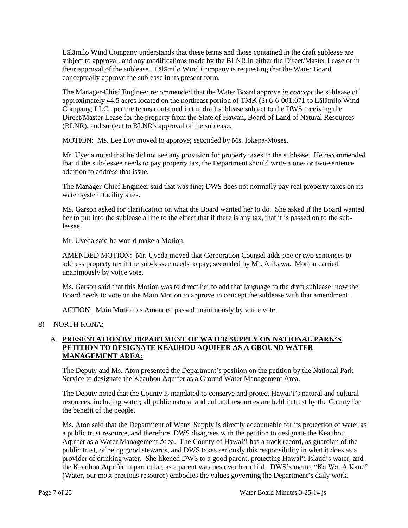Lālāmilo Wind Company understands that these terms and those contained in the draft sublease are subject to approval, and any modifications made by the BLNR in either the Direct/Master Lease or in their approval of the sublease. Lālāmilo Wind Company is requesting that the Water Board conceptually approve the sublease in its present form.

The Manager-Chief Engineer recommended that the Water Board approve *in concept* the sublease of approximately 44.5 acres located on the northeast portion of TMK (3) 6-6-001:071 to Lālāmilo Wind Company, LLC., per the terms contained in the draft sublease subject to the DWS receiving the Direct/Master Lease for the property from the State of Hawaii, Board of Land of Natural Resources (BLNR), and subject to BLNR's approval of the sublease.

MOTION: Ms. Lee Loy moved to approve; seconded by Ms. Iokepa-Moses.

Mr. Uyeda noted that he did not see any provision for property taxes in the sublease. He recommended that if the sub-lessee needs to pay property tax, the Department should write a one- or two-sentence addition to address that issue.

The Manager-Chief Engineer said that was fine; DWS does not normally pay real property taxes on its water system facility sites.

Ms. Garson asked for clarification on what the Board wanted her to do. She asked if the Board wanted her to put into the sublease a line to the effect that if there is any tax, that it is passed on to the sublessee.

Mr. Uyeda said he would make a Motion.

AMENDED MOTION: Mr. Uyeda moved that Corporation Counsel adds one or two sentences to address property tax if the sub-lessee needs to pay; seconded by Mr. Arikawa. Motion carried unanimously by voice vote.

Ms. Garson said that this Motion was to direct her to add that language to the draft sublease; now the Board needs to vote on the Main Motion to approve in concept the sublease with that amendment.

ACTION: Main Motion as Amended passed unanimously by voice vote.

# 8) NORTH KONA:

# A. **PRESENTATION BY DEPARTMENT OF WATER SUPPLY ON NATIONAL PARK'S PETITION TO DESIGNATE KEAUHOU AQUIFER AS A GROUND WATER MANAGEMENT AREA:**

The Deputy and Ms. Aton presented the Department's position on the petition by the National Park Service to designate the Keauhou Aquifer as a Ground Water Management Area.

The Deputy noted that the County is mandated to conserve and protect Hawai'i's natural and cultural resources, including water; all public natural and cultural resources are held in trust by the County for the benefit of the people.

Ms. Aton said that the Department of Water Supply is directly accountable for its protection of water as a public trust resource, and therefore, DWS disagrees with the petition to designate the Keauhou Aquifer as a Water Management Area. The County of Hawai'i has a track record, as guardian of the public trust, of being good stewards, and DWS takes seriously this responsibility in what it does as a provider of drinking water. She likened DWS to a good parent, protecting Hawai'i Island's water, and the Keauhou Aquifer in particular, as a parent watches over her child. DWS's motto, "Ka Wai A Kāne" (Water, our most precious resource) embodies the values governing the Department's daily work.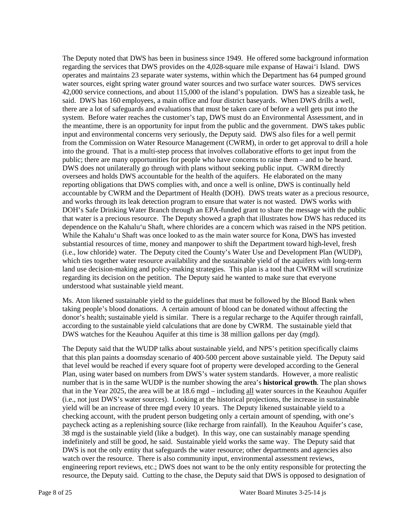The Deputy noted that DWS has been in business since 1949. He offered some background information regarding the services that DWS provides on the 4,028-square mile expanse of Hawai'i Island. DWS operates and maintains 23 separate water systems, within which the Department has 64 pumped ground water sources, eight spring water ground water sources and two surface water sources. DWS services 42,000 service connections, and about 115,000 of the island's population. DWS has a sizeable task, he said. DWS has 160 employees, a main office and four district baseyards. When DWS drills a well, there are a lot of safeguards and evaluations that must be taken care of before a well gets put into the system. Before water reaches the customer's tap, DWS must do an Environmental Assessment, and in the meantime, there is an opportunity for input from the public and the government. DWS takes public input and environmental concerns very seriously, the Deputy said. DWS also files for a well permit from the Commission on Water Resource Management (CWRM), in order to get approval to drill a hole into the ground. That is a multi-step process that involves collaborative efforts to get input from the public; there are many opportunities for people who have concerns to raise them – and to be heard. DWS does not unilaterally go through with plans without seeking public input. CWRM directly oversees and holds DWS accountable for the health of the aquifers. He elaborated on the many reporting obligations that DWS complies with, and once a well is online, DWS is continually held accountable by CWRM and the Department of Health (DOH). DWS treats water as a precious resource, and works through its leak detection program to ensure that water is not wasted. DWS works with DOH's Safe Drinking Water Branch through an EPA-funded grant to share the message with the public that water is a precious resource. The Deputy showed a graph that illustrates how DWS has reduced its dependence on the Kahalu'u Shaft, where chlorides are a concern which was raised in the NPS petition. While the Kahalu'u Shaft was once looked to as the main water source for Kona, DWS has invested substantial resources of time, money and manpower to shift the Department toward high-level, fresh (i.e., low chloride) water. The Deputy cited the County's Water Use and Development Plan (WUDP), which ties together water resource availability and the sustainable yield of the aquifers with long-term land use decision-making and policy-making strategies. This plan is a tool that CWRM will scrutinize regarding its decision on the petition. The Deputy said he wanted to make sure that everyone understood what sustainable yield meant.

Ms. Aton likened sustainable yield to the guidelines that must be followed by the Blood Bank when taking people's blood donations. A certain amount of blood can be donated without affecting the donor's health; sustainable yield is similar. There is a regular recharge to the Aquifer through rainfall, according to the sustainable yield calculations that are done by CWRM. The sustainable yield that DWS watches for the Keauhou Aquifer at this time is 38 million gallons per day (mgd).

The Deputy said that the WUDP talks about sustainable yield, and NPS's petition specifically claims that this plan paints a doomsday scenario of 400-500 percent above sustainable yield. The Deputy said that level would be reached if every square foot of property were developed according to the General Plan, using water based on numbers from DWS's water system standards. However, a more realistic number that is in the same WUDP is the number showing the area's **historical growth**. The plan shows that in the Year 2025, the area will be at 18.6 mgd – including all water sources in the Keauhou Aquifer (i.e., not just DWS's water sources). Looking at the historical projections, the increase in sustainable yield will be an increase of three mgd every 10 years. The Deputy likened sustainable yield to a checking account, with the prudent person budgeting only a certain amount of spending, with one's paycheck acting as a replenishing source (like recharge from rainfall). In the Keauhou Aquifer's case, 38 mgd is the sustainable yield (like a budget). In this way, one can sustainably manage spending indefinitely and still be good, he said. Sustainable yield works the same way. The Deputy said that DWS is not the only entity that safeguards the water resource; other departments and agencies also watch over the resource. There is also community input, environmental assessment reviews, engineering report reviews, etc.; DWS does not want to be the only entity responsible for protecting the resource, the Deputy said. Cutting to the chase, the Deputy said that DWS is opposed to designation of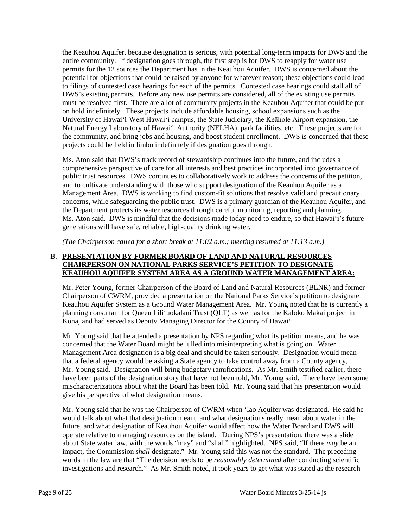the Keauhou Aquifer, because designation is serious, with potential long-term impacts for DWS and the entire community. If designation goes through, the first step is for DWS to reapply for water use permits for the 12 sources the Department has in the Keauhou Aquifer. DWS is concerned about the potential for objections that could be raised by anyone for whatever reason; these objections could lead to filings of contested case hearings for each of the permits. Contested case hearings could stall all of DWS's existing permits. Before any new use permits are considered, all of the existing use permits must be resolved first. There are a lot of community projects in the Keauhou Aquifer that could be put on hold indefinitely. These projects include affordable housing, school expansions such as the University of Hawai'i-West Hawai'i campus, the State Judiciary, the Keāhole Airport expansion, the Natural Energy Laboratory of Hawai'i Authority (NELHA), park facilities, etc. These projects are for the community, and bring jobs and housing, and boost student enrollment. DWS is concerned that these projects could be held in limbo indefinitely if designation goes through.

Ms. Aton said that DWS's track record of stewardship continues into the future, and includes a comprehensive perspective of care for all interests and best practices incorporated into governance of public trust resources. DWS continues to collaboratively work to address the concerns of the petition, and to cultivate understanding with those who support designation of the Keauhou Aquifer as a Management Area. DWS is working to find custom-fit solutions that resolve valid and precautionary concerns, while safeguarding the public trust. DWS is a primary guardian of the Keauhou Aquifer, and the Department protects its water resources through careful monitoring, reporting and planning, Ms. Aton said. DWS is mindful that the decisions made today need to endure, so that Hawai'i's future generations will have safe, reliable, high-quality drinking water.

*(The Chairperson called for a short break at 11:02 a.m.; meeting resumed at 11:13 a.m.)*

## B. **PRESENTATION BY FORMER BOARD OF LAND AND NATURAL RESOURCES CHAIRPERSON ON NATIONAL PARKS SERVICE'S PETITION TO DESIGNATE KEAUHOU AQUIFER SYSTEM AREA AS A GROUND WATER MANAGEMENT AREA:**

Mr. Peter Young, former Chairperson of the Board of Land and Natural Resources (BLNR) and former Chairperson of CWRM, provided a presentation on the National Parks Service's petition to designate Keauhou Aquifer System as a Ground Water Management Area. Mr. Young noted that he is currently a planning consultant for Queen Lili'uokalani Trust (QLT) as well as for the Kaloko Makai project in Kona, and had served as Deputy Managing Director for the County of Hawai'i.

Mr. Young said that he attended a presentation by NPS regarding what its petition means, and he was concerned that the Water Board might be lulled into misinterpreting what is going on. Water Management Area designation is a big deal and should be taken seriously. Designation would mean that a federal agency would be asking a State agency to take control away from a County agency, Mr. Young said. Designation will bring budgetary ramifications. As Mr. Smith testified earlier, there have been parts of the designation story that have not been told, Mr. Young said. There have been some mischaracterizations about what the Board has been told. Mr. Young said that his presentation would give his perspective of what designation means.

Mr. Young said that he was the Chairperson of CWRM when 'Iao Aquifer was designated. He said he would talk about what that designation meant, and what designations really mean about water in the future, and what designation of Keauhou Aquifer would affect how the Water Board and DWS will operate relative to managing resources on the island. During NPS's presentation, there was a slide about State water law, with the words "may" and "shall" highlighted. NPS said, "If there *may* be an impact, the Commission *shall* designate." Mr. Young said this was not the standard. The preceding words in the law are that "The decision needs to be *reasonably determined* after conducting scientific investigations and research." As Mr. Smith noted, it took years to get what was stated as the research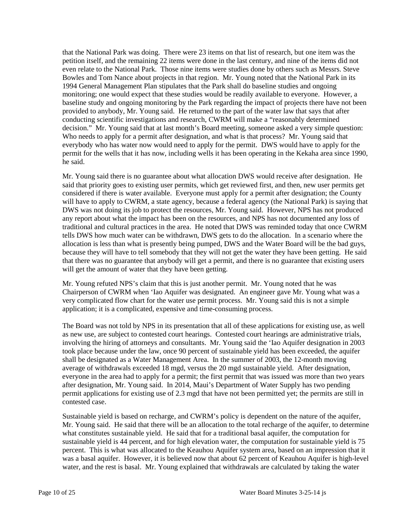that the National Park was doing. There were 23 items on that list of research, but one item was the petition itself, and the remaining 22 items were done in the last century, and nine of the items did not even relate to the National Park. Those nine items were studies done by others such as Messrs. Steve Bowles and Tom Nance about projects in that region. Mr. Young noted that the National Park in its 1994 General Management Plan stipulates that the Park shall do baseline studies and ongoing monitoring; one would expect that these studies would be readily available to everyone. However, a baseline study and ongoing monitoring by the Park regarding the impact of projects there have not been provided to anybody, Mr. Young said. He returned to the part of the water law that says that after conducting scientific investigations and research, CWRM will make a "reasonably determined decision." Mr. Young said that at last month's Board meeting, someone asked a very simple question: Who needs to apply for a permit after designation, and what is that process? Mr. Young said that everybody who has water now would need to apply for the permit. DWS would have to apply for the permit for the wells that it has now, including wells it has been operating in the Kekaha area since 1990, he said.

Mr. Young said there is no guarantee about what allocation DWS would receive after designation. He said that priority goes to existing user permits, which get reviewed first, and then, new user permits get considered if there is water available. Everyone must apply for a permit after designation; the County will have to apply to CWRM, a state agency, because a federal agency (the National Park) is saying that DWS was not doing its job to protect the resources, Mr. Young said. However, NPS has not produced any report about what the impact has been on the resources, and NPS has not documented any loss of traditional and cultural practices in the area. He noted that DWS was reminded today that once CWRM tells DWS how much water can be withdrawn, DWS gets to do the allocation. In a scenario where the allocation is less than what is presently being pumped, DWS and the Water Board will be the bad guys, because they will have to tell somebody that they will not get the water they have been getting. He said that there was no guarantee that anybody will get a permit, and there is no guarantee that existing users will get the amount of water that they have been getting.

Mr. Young refuted NPS's claim that this is just another permit. Mr. Young noted that he was Chairperson of CWRM when 'Iao Aquifer was designated. An engineer gave Mr. Young what was a very complicated flow chart for the water use permit process. Mr. Young said this is not a simple application; it is a complicated, expensive and time-consuming process.

The Board was not told by NPS in its presentation that all of these applications for existing use, as well as new use, are subject to contested court hearings. Contested court hearings are administrative trials, involving the hiring of attorneys and consultants. Mr. Young said the 'Iao Aquifer designation in 2003 took place because under the law, once 90 percent of sustainable yield has been exceeded, the aquifer shall be designated as a Water Management Area. In the summer of 2003, the 12-month moving average of withdrawals exceeded 18 mgd, versus the 20 mgd sustainable yield. After designation, everyone in the area had to apply for a permit; the first permit that was issued was more than two years after designation, Mr. Young said. In 2014, Maui's Department of Water Supply has two pending permit applications for existing use of 2.3 mgd that have not been permitted yet; the permits are still in contested case.

Sustainable yield is based on recharge, and CWRM's policy is dependent on the nature of the aquifer, Mr. Young said. He said that there will be an allocation to the total recharge of the aquifer, to determine what constitutes sustainable yield. He said that for a traditional basal aquifer, the computation for sustainable yield is 44 percent, and for high elevation water, the computation for sustainable yield is 75 percent. This is what was allocated to the Keauhou Aquifer system area, based on an impression that it was a basal aquifer. However, it is believed now that about 62 percent of Keauhou Aquifer is high-level water, and the rest is basal. Mr. Young explained that withdrawals are calculated by taking the water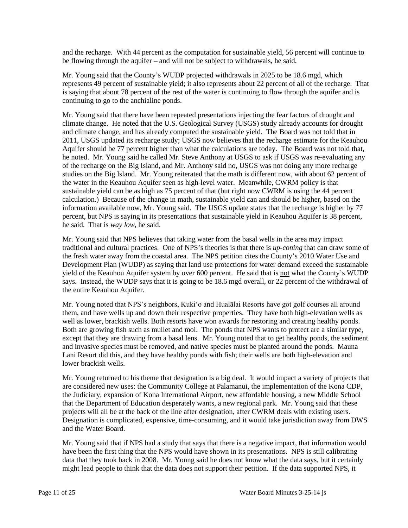and the recharge. With 44 percent as the computation for sustainable yield, 56 percent will continue to be flowing through the aquifer – and will not be subject to withdrawals, he said.

Mr. Young said that the County's WUDP projected withdrawals in 2025 to be 18.6 mgd, which represents 49 percent of sustainable yield; it also represents about 22 percent of all of the recharge. That is saying that about 78 percent of the rest of the water is continuing to flow through the aquifer and is continuing to go to the anchialine ponds.

Mr. Young said that there have been repeated presentations injecting the fear factors of drought and climate change. He noted that the U.S. Geological Survey (USGS) study already accounts for drought and climate change, and has already computed the sustainable yield. The Board was not told that in 2011, USGS updated its recharge study; USGS now believes that the recharge estimate for the Keauhou Aquifer should be 77 percent higher than what the calculations are today. The Board was not told that, he noted. Mr. Young said he called Mr. Steve Anthony at USGS to ask if USGS was re-evaluating any of the recharge on the Big Island, and Mr. Anthony said no, USGS was not doing any more recharge studies on the Big Island. Mr. Young reiterated that the math is different now, with about 62 percent of the water in the Keauhou Aquifer seen as high-level water. Meanwhile, CWRM policy is that sustainable yield can be as high as 75 percent of that (but right now CWRM is using the 44 percent calculation.) Because of the change in math, sustainable yield can and should be higher, based on the information available now, Mr. Young said. The USGS update states that the recharge is higher by 77 percent, but NPS is saying in its presentations that sustainable yield in Keauhou Aquifer is 38 percent, he said. That is *way low*, he said.

Mr. Young said that NPS believes that taking water from the basal wells in the area may impact traditional and cultural practices. One of NPS's theories is that there is *up-coning* that can draw some of the fresh water away from the coastal area. The NPS petition cites the County's 2010 Water Use and Development Plan (WUDP) as saying that land use protections for water demand exceed the sustainable yield of the Keauhou Aquifer system by over 600 percent. He said that is not what the County's WUDP says. Instead, the WUDP says that it is going to be 18.6 mgd overall, or 22 percent of the withdrawal of the entire Keauhou Aquifer.

Mr. Young noted that NPS's neighbors, Kuki'o and Hualālai Resorts have got golf courses all around them, and have wells up and down their respective properties. They have both high-elevation wells as well as lower, brackish wells. Both resorts have won awards for restoring and creating healthy ponds. Both are growing fish such as mullet and moi. The ponds that NPS wants to protect are a similar type, except that they are drawing from a basal lens. Mr. Young noted that to get healthy ponds, the sediment and invasive species must be removed, and native species must be planted around the ponds. Mauna Lani Resort did this, and they have healthy ponds with fish; their wells are both high-elevation and lower brackish wells.

Mr. Young returned to his theme that designation is a big deal. It would impact a variety of projects that are considered new uses: the Community College at Palamanui, the implementation of the Kona CDP, the Judiciary, expansion of Kona International Airport, new affordable housing, a new Middle School that the Department of Education desperately wants, a new regional park. Mr. Young said that these projects will all be at the back of the line after designation, after CWRM deals with existing users. Designation is complicated, expensive, time-consuming, and it would take jurisdiction away from DWS and the Water Board.

Mr. Young said that if NPS had a study that says that there is a negative impact, that information would have been the first thing that the NPS would have shown in its presentations. NPS is still calibrating data that they took back in 2008. Mr. Young said he does not know what the data says, but it certainly might lead people to think that the data does not support their petition. If the data supported NPS, it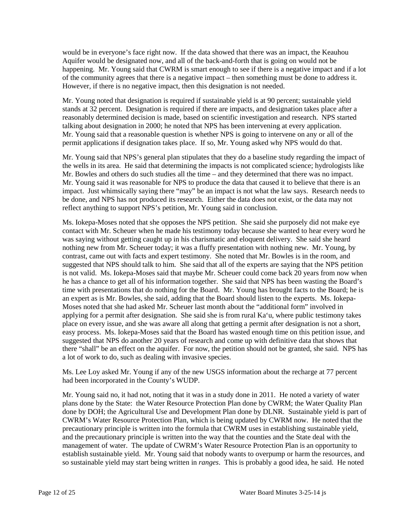would be in everyone's face right now. If the data showed that there was an impact, the Keauhou Aquifer would be designated now, and all of the back-and-forth that is going on would not be happening. Mr. Young said that CWRM is smart enough to see if there is a negative impact and if a lot of the community agrees that there is a negative impact – then something must be done to address it. However, if there is no negative impact, then this designation is not needed.

Mr. Young noted that designation is required if sustainable yield is at 90 percent; sustainable yield stands at 32 percent. Designation is required if there are impacts, and designation takes place after a reasonably determined decision is made, based on scientific investigation and research. NPS started talking about designation in 2000; he noted that NPS has been intervening at every application. Mr. Young said that a reasonable question is whether NPS is going to intervene on any or all of the permit applications if designation takes place. If so, Mr. Young asked why NPS would do that.

Mr. Young said that NPS's general plan stipulates that they do a baseline study regarding the impact of the wells in its area. He said that determining the impacts is not complicated science; hydrologists like Mr. Bowles and others do such studies all the time – and they determined that there was no impact. Mr. Young said it was reasonable for NPS to produce the data that caused it to believe that there is an impact. Just whimsically saying there "may" be an impact is not what the law says. Research needs to be done, and NPS has not produced its research. Either the data does not exist, or the data may not reflect anything to support NPS's petition, Mr. Young said in conclusion.

Ms. Iokepa-Moses noted that she opposes the NPS petition. She said she purposely did not make eye contact with Mr. Scheuer when he made his testimony today because she wanted to hear every word he was saying without getting caught up in his charismatic and eloquent delivery. She said she heard nothing new from Mr. Scheuer today; it was a fluffy presentation with nothing new. Mr. Young, by contrast, came out with facts and expert testimony. She noted that Mr. Bowles is in the room, and suggested that NPS should talk to him. She said that all of the experts are saying that the NPS petition is not valid. Ms. Iokepa-Moses said that maybe Mr. Scheuer could come back 20 years from now when he has a chance to get all of his information together. She said that NPS has been wasting the Board's time with presentations that do nothing for the Board. Mr. Young has brought facts to the Board; he is an expert as is Mr. Bowles, she said, adding that the Board should listen to the experts. Ms. Iokepa-Moses noted that she had asked Mr. Scheuer last month about the "additional form" involved in applying for a permit after designation. She said she is from rural Ka'u, where public testimony takes place on every issue, and she was aware all along that getting a permit after designation is not a short, easy process. Ms. Iokepa-Moses said that the Board has wasted enough time on this petition issue, and suggested that NPS do another 20 years of research and come up with definitive data that shows that there "shall" be an effect on the aquifer. For now, the petition should not be granted, she said. NPS has a lot of work to do, such as dealing with invasive species.

Ms. Lee Loy asked Mr. Young if any of the new USGS information about the recharge at 77 percent had been incorporated in the County's WUDP.

Mr. Young said no, it had not, noting that it was in a study done in 2011. He noted a variety of water plans done by the State: the Water Resource Protection Plan done by CWRM; the Water Quality Plan done by DOH; the Agricultural Use and Development Plan done by DLNR. Sustainable yield is part of CWRM's Water Resource Protection Plan, which is being updated by CWRM now. He noted that the precautionary principle is written into the formula that CWRM uses in establishing sustainable yield, and the precautionary principle is written into the way that the counties and the State deal with the management of water. The update of CWRM's Water Resource Protection Plan is an opportunity to establish sustainable yield. Mr. Young said that nobody wants to overpump or harm the resources, and so sustainable yield may start being written in *ranges*. This is probably a good idea, he said. He noted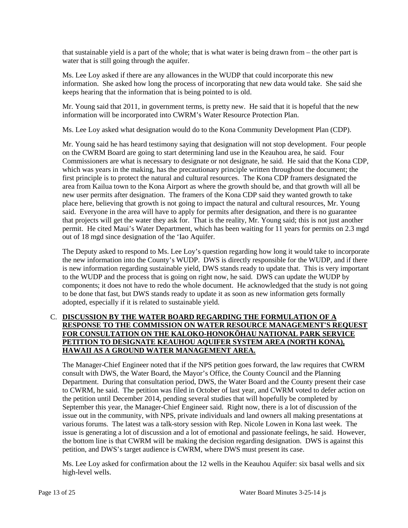that sustainable yield is a part of the whole; that is what water is being drawn from – the other part is water that is still going through the aquifer.

Ms. Lee Loy asked if there are any allowances in the WUDP that could incorporate this new information. She asked how long the process of incorporating that new data would take. She said she keeps hearing that the information that is being pointed to is old.

Mr. Young said that 2011, in government terms, is pretty new. He said that it is hopeful that the new information will be incorporated into CWRM's Water Resource Protection Plan.

Ms. Lee Loy asked what designation would do to the Kona Community Development Plan (CDP).

Mr. Young said he has heard testimony saying that designation will not stop development. Four people on the CWRM Board are going to start determining land use in the Keauhou area, he said. Four Commissioners are what is necessary to designate or not designate, he said. He said that the Kona CDP, which was years in the making, has the precautionary principle written throughout the document; the first principle is to protect the natural and cultural resources. The Kona CDP framers designated the area from Kailua town to the Kona Airport as where the growth should be, and that growth will all be new user permits after designation. The framers of the Kona CDP said they wanted growth to take place here, believing that growth is not going to impact the natural and cultural resources, Mr. Young said. Everyone in the area will have to apply for permits after designation, and there is no guarantee that projects will get the water they ask for. That is the reality, Mr. Young said; this is not just another permit. He cited Maui's Water Department, which has been waiting for 11 years for permits on 2.3 mgd out of 18 mgd since designation of the 'Iao Aquifer.

The Deputy asked to respond to Ms. Lee Loy's question regarding how long it would take to incorporate the new information into the County's WUDP. DWS is directly responsible for the WUDP, and if there is new information regarding sustainable yield, DWS stands ready to update that. This is very important to the WUDP and the process that is going on right now, he said. DWS can update the WUDP by components; it does not have to redo the whole document. He acknowledged that the study is not going to be done that fast, but DWS stands ready to update it as soon as new information gets formally adopted, especially if it is related to sustainable yield.

# C. **DISCUSSION BY THE WATER BOARD REGARDING THE FORMULATION OF A RESPONSE TO THE COMMISSION ON WATER RESOURCE MANAGEMENT'S REQUEST FOR CONSULTATION ON THE KALOKO-HONOKŌHAU NATIONAL PARK SERVICE PETITION TO DESIGNATE KEAUHOU AQUIFER SYSTEM AREA (NORTH KONA), HAWAII AS A GROUND WATER MANAGEMENT AREA.**

The Manager-Chief Engineer noted that if the NPS petition goes forward, the law requires that CWRM consult with DWS, the Water Board, the Mayor's Office, the County Council and the Planning Department. During that consultation period, DWS, the Water Board and the County present their case to CWRM, he said. The petition was filed in October of last year, and CWRM voted to defer action on the petition until December 2014, pending several studies that will hopefully be completed by September this year, the Manager-Chief Engineer said. Right now, there is a lot of discussion of the issue out in the community, with NPS, private individuals and land owners all making presentations at various forums. The latest was a talk-story session with Rep. Nicole Lowen in Kona last week. The issue is generating a lot of discussion and a lot of emotional and passionate feelings, he said. However, the bottom line is that CWRM will be making the decision regarding designation. DWS is against this petition, and DWS's target audience is CWRM, where DWS must present its case.

Ms. Lee Loy asked for confirmation about the 12 wells in the Keauhou Aquifer: six basal wells and six high-level wells.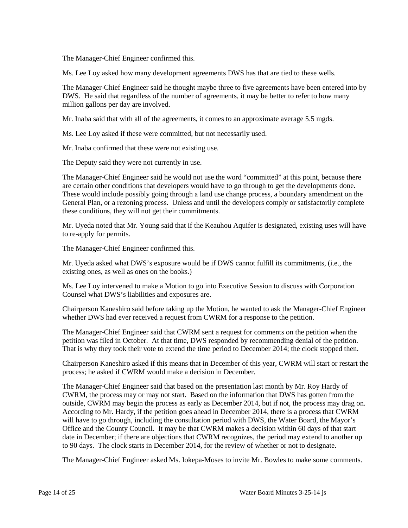The Manager-Chief Engineer confirmed this.

Ms. Lee Loy asked how many development agreements DWS has that are tied to these wells.

The Manager-Chief Engineer said he thought maybe three to five agreements have been entered into by DWS. He said that regardless of the number of agreements, it may be better to refer to how many million gallons per day are involved.

Mr. Inaba said that with all of the agreements, it comes to an approximate average 5.5 mgds.

Ms. Lee Loy asked if these were committed, but not necessarily used.

Mr. Inaba confirmed that these were not existing use.

The Deputy said they were not currently in use.

The Manager-Chief Engineer said he would not use the word "committed" at this point, because there are certain other conditions that developers would have to go through to get the developments done. These would include possibly going through a land use change process, a boundary amendment on the General Plan, or a rezoning process. Unless and until the developers comply or satisfactorily complete these conditions, they will not get their commitments.

Mr. Uyeda noted that Mr. Young said that if the Keauhou Aquifer is designated, existing uses will have to re-apply for permits.

The Manager-Chief Engineer confirmed this.

Mr. Uyeda asked what DWS's exposure would be if DWS cannot fulfill its commitments, (i.e., the existing ones, as well as ones on the books.)

Ms. Lee Loy intervened to make a Motion to go into Executive Session to discuss with Corporation Counsel what DWS's liabilities and exposures are.

Chairperson Kaneshiro said before taking up the Motion, he wanted to ask the Manager-Chief Engineer whether DWS had ever received a request from CWRM for a response to the petition.

The Manager-Chief Engineer said that CWRM sent a request for comments on the petition when the petition was filed in October. At that time, DWS responded by recommending denial of the petition. That is why they took their vote to extend the time period to December 2014; the clock stopped then.

Chairperson Kaneshiro asked if this means that in December of this year, CWRM will start or restart the process; he asked if CWRM would make a decision in December.

The Manager-Chief Engineer said that based on the presentation last month by Mr. Roy Hardy of CWRM, the process may or may not start. Based on the information that DWS has gotten from the outside, CWRM may begin the process as early as December 2014, but if not, the process may drag on. According to Mr. Hardy, if the petition goes ahead in December 2014, there is a process that CWRM will have to go through, including the consultation period with DWS, the Water Board, the Mayor's Office and the County Council. It may be that CWRM makes a decision within 60 days of that start date in December; if there are objections that CWRM recognizes, the period may extend to another up to 90 days. The clock starts in December 2014, for the review of whether or not to designate.

The Manager-Chief Engineer asked Ms. Iokepa-Moses to invite Mr. Bowles to make some comments.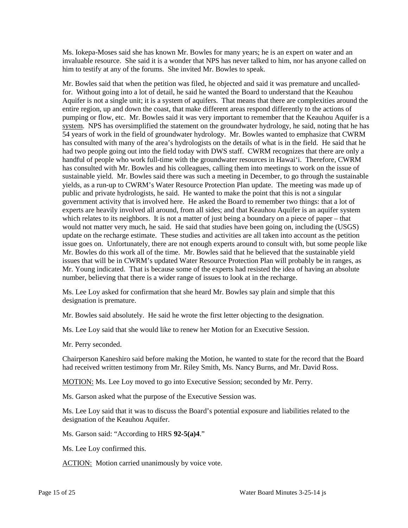Ms. Iokepa-Moses said she has known Mr. Bowles for many years; he is an expert on water and an invaluable resource. She said it is a wonder that NPS has never talked to him, nor has anyone called on him to testify at any of the forums. She invited Mr. Bowles to speak.

Mr. Bowles said that when the petition was filed, he objected and said it was premature and uncalledfor. Without going into a lot of detail, he said he wanted the Board to understand that the Keauhou Aquifer is not a single unit; it is a system of aquifers. That means that there are complexities around the entire region, up and down the coast, that make different areas respond differently to the actions of pumping or flow, etc. Mr. Bowles said it was very important to remember that the Keauhou Aquifer is a system. NPS has oversimplified the statement on the groundwater hydrology, he said, noting that he has 54 years of work in the field of groundwater hydrology. Mr. Bowles wanted to emphasize that CWRM has consulted with many of the area's hydrologists on the details of what is in the field. He said that he had two people going out into the field today with DWS staff. CWRM recognizes that there are only a handful of people who work full-time with the groundwater resources in Hawai'i. Therefore, CWRM has consulted with Mr. Bowles and his colleagues, calling them into meetings to work on the issue of sustainable yield. Mr. Bowles said there was such a meeting in December, to go through the sustainable yields, as a run-up to CWRM's Water Resource Protection Plan update. The meeting was made up of public and private hydrologists, he said. He wanted to make the point that this is not a singular government activity that is involved here. He asked the Board to remember two things: that a lot of experts are heavily involved all around, from all sides; and that Keauhou Aquifer is an aquifer system which relates to its neighbors. It is not a matter of just being a boundary on a piece of paper – that would not matter very much, he said. He said that studies have been going on, including the (USGS) update on the recharge estimate. These studies and activities are all taken into account as the petition issue goes on. Unfortunately, there are not enough experts around to consult with, but some people like Mr. Bowles do this work all of the time. Mr. Bowles said that he believed that the sustainable yield issues that will be in CWRM's updated Water Resource Protection Plan will probably be in ranges, as Mr. Young indicated. That is because some of the experts had resisted the idea of having an absolute number, believing that there is a wider range of issues to look at in the recharge.

Ms. Lee Loy asked for confirmation that she heard Mr. Bowles say plain and simple that this designation is premature.

Mr. Bowles said absolutely. He said he wrote the first letter objecting to the designation.

Ms. Lee Loy said that she would like to renew her Motion for an Executive Session.

Mr. Perry seconded.

Chairperson Kaneshiro said before making the Motion, he wanted to state for the record that the Board had received written testimony from Mr. Riley Smith, Ms. Nancy Burns, and Mr. David Ross.

MOTION: Ms. Lee Loy moved to go into Executive Session; seconded by Mr. Perry.

Ms. Garson asked what the purpose of the Executive Session was.

Ms. Lee Loy said that it was to discuss the Board's potential exposure and liabilities related to the designation of the Keauhou Aquifer.

Ms. Garson said: "According to HRS **92-5(a)4**."

Ms. Lee Loy confirmed this.

ACTION: Motion carried unanimously by voice vote.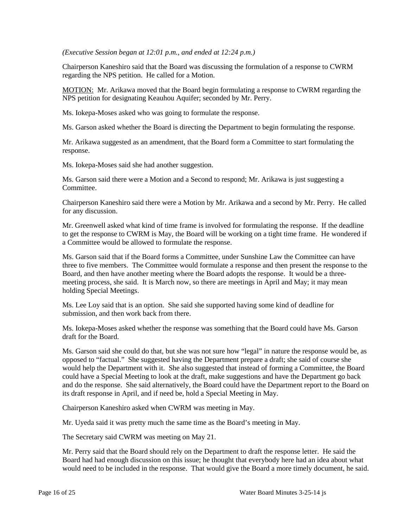*(Executive Session began at 12:01 p.m., and ended at 12:24 p.m.)*

Chairperson Kaneshiro said that the Board was discussing the formulation of a response to CWRM regarding the NPS petition. He called for a Motion.

MOTION: Mr. Arikawa moved that the Board begin formulating a response to CWRM regarding the NPS petition for designating Keauhou Aquifer; seconded by Mr. Perry.

Ms. Iokepa-Moses asked who was going to formulate the response.

Ms. Garson asked whether the Board is directing the Department to begin formulating the response.

Mr. Arikawa suggested as an amendment, that the Board form a Committee to start formulating the response.

Ms. Iokepa-Moses said she had another suggestion.

Ms. Garson said there were a Motion and a Second to respond; Mr. Arikawa is just suggesting a Committee.

Chairperson Kaneshiro said there were a Motion by Mr. Arikawa and a second by Mr. Perry. He called for any discussion.

Mr. Greenwell asked what kind of time frame is involved for formulating the response. If the deadline to get the response to CWRM is May, the Board will be working on a tight time frame. He wondered if a Committee would be allowed to formulate the response.

Ms. Garson said that if the Board forms a Committee, under Sunshine Law the Committee can have three to five members. The Committee would formulate a response and then present the response to the Board, and then have another meeting where the Board adopts the response. It would be a threemeeting process, she said. It is March now, so there are meetings in April and May; it may mean holding Special Meetings.

Ms. Lee Loy said that is an option. She said she supported having some kind of deadline for submission, and then work back from there.

Ms. Iokepa-Moses asked whether the response was something that the Board could have Ms. Garson draft for the Board.

Ms. Garson said she could do that, but she was not sure how "legal" in nature the response would be, as opposed to "factual." She suggested having the Department prepare a draft; she said of course she would help the Department with it. She also suggested that instead of forming a Committee, the Board could have a Special Meeting to look at the draft, make suggestions and have the Department go back and do the response. She said alternatively, the Board could have the Department report to the Board on its draft response in April, and if need be, hold a Special Meeting in May.

Chairperson Kaneshiro asked when CWRM was meeting in May.

Mr. Uyeda said it was pretty much the same time as the Board's meeting in May.

The Secretary said CWRM was meeting on May 21.

Mr. Perry said that the Board should rely on the Department to draft the response letter. He said the Board had had enough discussion on this issue; he thought that everybody here had an idea about what would need to be included in the response. That would give the Board a more timely document, he said.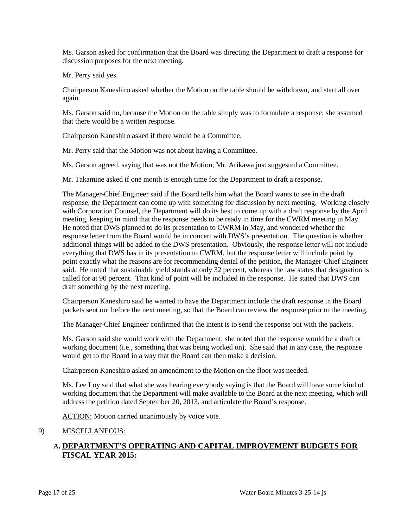Ms. Garson asked for confirmation that the Board was directing the Department to draft a response for discussion purposes for the next meeting.

Mr. Perry said yes.

Chairperson Kaneshiro asked whether the Motion on the table should be withdrawn, and start all over again.

Ms. Garson said no, because the Motion on the table simply was to formulate a response; she assumed that there would be a written response.

Chairperson Kaneshiro asked if there would be a Committee.

Mr. Perry said that the Motion was not about having a Committee.

Ms. Garson agreed, saying that was not the Motion; Mr. Arikawa just suggested a Committee.

Mr. Takamine asked if one month is enough time for the Department to draft a response.

The Manager-Chief Engineer said if the Board tells him what the Board wants to see in the draft response, the Department can come up with something for discussion by next meeting. Working closely with Corporation Counsel, the Department will do its best to come up with a draft response by the April meeting, keeping in mind that the response needs to be ready in time for the CWRM meeting in May. He noted that DWS planned to do its presentation to CWRM in May, and wondered whether the response letter from the Board would be in concert with DWS's presentation. The question is whether additional things will be added to the DWS presentation. Obviously, the response letter will not include everything that DWS has in its presentation to CWRM, but the response letter will include point by point exactly what the reasons are for recommending denial of the petition, the Manager-Chief Engineer said. He noted that sustainable yield stands at only 32 percent, whereas the law states that designation is called for at 90 percent. That kind of point will be included in the response. He stated that DWS can draft something by the next meeting.

Chairperson Kaneshiro said he wanted to have the Department include the draft response in the Board packets sent out before the next meeting, so that the Board can review the response prior to the meeting.

The Manager-Chief Engineer confirmed that the intent is to send the response out with the packets.

Ms. Garson said she would work with the Department; she noted that the response would be a draft or working document (i.e., something that was being worked on). She said that in any case, the response would get to the Board in a way that the Board can then make a decision.

Chairperson Kaneshiro asked an amendment to the Motion on the floor was needed.

Ms. Lee Loy said that what she was hearing everybody saying is that the Board will have some kind of working document that the Department will make available to the Board at the next meeting, which will address the petition dated September 20, 2013, and articulate the Board's response.

ACTION: Motion carried unanimously by voice vote.

# 9) MISCELLANEOUS:

# A**. DEPARTMENT'S OPERATING AND CAPITAL IMPROVEMENT BUDGETS FOR FISCAL YEAR 2015:**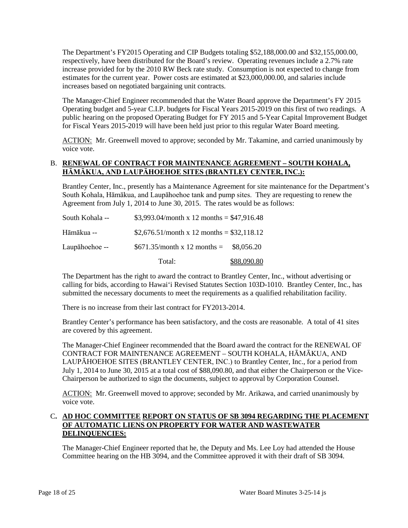The Department's FY2015 Operating and CIP Budgets totaling \$52,188,000.00 and \$32,155,000.00, respectively, have been distributed for the Board's review. Operating revenues include a 2.7% rate increase provided for by the 2010 RW Beck rate study. Consumption is not expected to change from estimates for the current year. Power costs are estimated at \$23,000,000.00, and salaries include increases based on negotiated bargaining unit contracts.

The Manager-Chief Engineer recommended that the Water Board approve the Department's FY 2015 Operating budget and 5-year C.I.P. budgets for Fiscal Years 2015-2019 on this first of two readings. A public hearing on the proposed Operating Budget for FY 2015 and 5-Year Capital Improvement Budget for Fiscal Years 2015-2019 will have been held just prior to this regular Water Board meeting.

ACTION: Mr. Greenwell moved to approve; seconded by Mr. Takamine, and carried unanimously by voice vote.

# B. **RENEWAL OF CONTRACT FOR MAINTENANCE AGREEMENT – SOUTH KOHALA, HĀMĀKUA, AND LAUPĀHOEHOE SITES (BRANTLEY CENTER, INC.):**

Brantley Center, Inc., presently has a Maintenance Agreement for site maintenance for the Department's South Kohala, Hāmākua, and Laupāhoehoe tank and pump sites. They are requesting to renew the Agreement from July 1, 2014 to June 30, 2015. The rates would be as follows:

|                 | Total:                                     | \$88,090.80 |
|-----------------|--------------------------------------------|-------------|
| Laupāhoehoe --  | $$671.35/month x 12 months =$              | \$8,056.20  |
| Hāmākua --      | \$2,676.51/month x 12 months = \$32,118.12 |             |
| South Kohala -- | \$3,993.04/month x 12 months = \$47,916.48 |             |

The Department has the right to award the contract to Brantley Center, Inc., without advertising or calling for bids, according to Hawai'i Revised Statutes Section 103D-1010. Brantley Center, Inc., has submitted the necessary documents to meet the requirements as a qualified rehabilitation facility.

There is no increase from their last contract for FY2013-2014.

Brantley Center's performance has been satisfactory, and the costs are reasonable. A total of 41 sites are covered by this agreement.

The Manager-Chief Engineer recommended that the Board award the contract for the RENEWAL OF CONTRACT FOR MAINTENANCE AGREEMENT – SOUTH KOHALA, HĀMĀKUA, AND LAUPĀHOEHOE SITES (BRANTLEY CENTER, INC.) to Brantley Center, Inc., for a period from July 1, 2014 to June 30, 2015 at a total cost of \$88,090.80, and that either the Chairperson or the Vice-Chairperson be authorized to sign the documents, subject to approval by Corporation Counsel.

ACTION: Mr. Greenwell moved to approve; seconded by Mr. Arikawa, and carried unanimously by voice vote.

## C**. AD HOC COMMITTEE REPORT ON STATUS OF SB 3094 REGARDING THE PLACEMENT OF AUTOMATIC LIENS ON PROPERTY FOR WATER AND WASTEWATER DELINQUENCIES:**

The Manager-Chief Engineer reported that he, the Deputy and Ms. Lee Loy had attended the House Committee hearing on the HB 3094, and the Committee approved it with their draft of SB 3094.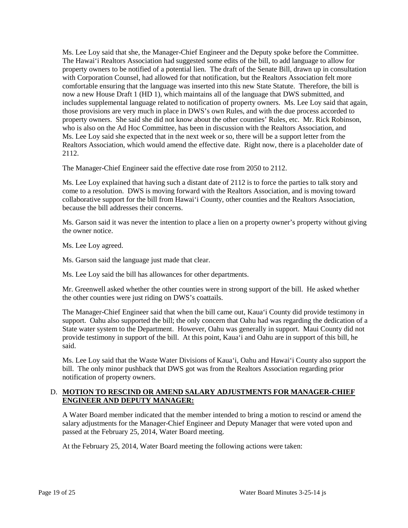Ms. Lee Loy said that she, the Manager-Chief Engineer and the Deputy spoke before the Committee. The Hawai'i Realtors Association had suggested some edits of the bill, to add language to allow for property owners to be notified of a potential lien. The draft of the Senate Bill, drawn up in consultation with Corporation Counsel, had allowed for that notification, but the Realtors Association felt more comfortable ensuring that the language was inserted into this new State Statute. Therefore, the bill is now a new House Draft 1 (HD 1), which maintains all of the language that DWS submitted, and includes supplemental language related to notification of property owners. Ms. Lee Loy said that again, those provisions are very much in place in DWS's own Rules, and with the due process accorded to property owners. She said she did not know about the other counties' Rules, etc. Mr. Rick Robinson, who is also on the Ad Hoc Committee, has been in discussion with the Realtors Association, and Ms. Lee Loy said she expected that in the next week or so, there will be a support letter from the Realtors Association, which would amend the effective date. Right now, there is a placeholder date of 2112.

The Manager-Chief Engineer said the effective date rose from 2050 to 2112.

Ms. Lee Loy explained that having such a distant date of 2112 is to force the parties to talk story and come to a resolution. DWS is moving forward with the Realtors Association, and is moving toward collaborative support for the bill from Hawai'i County, other counties and the Realtors Association, because the bill addresses their concerns.

Ms. Garson said it was never the intention to place a lien on a property owner's property without giving the owner notice.

Ms. Lee Loy agreed.

Ms. Garson said the language just made that clear.

Ms. Lee Loy said the bill has allowances for other departments.

Mr. Greenwell asked whether the other counties were in strong support of the bill. He asked whether the other counties were just riding on DWS's coattails.

The Manager-Chief Engineer said that when the bill came out, Kaua'i County did provide testimony in support. Oahu also supported the bill; the only concern that Oahu had was regarding the dedication of a State water system to the Department. However, Oahu was generally in support. Maui County did not provide testimony in support of the bill. At this point, Kaua'i and Oahu are in support of this bill, he said.

Ms. Lee Loy said that the Waste Water Divisions of Kaua'i, Oahu and Hawai'i County also support the bill. The only minor pushback that DWS got was from the Realtors Association regarding prior notification of property owners.

# D. **MOTION TO RESCIND OR AMEND SALARY ADJUSTMENTS FOR MANAGER-CHIEF ENGINEER AND DEPUTY MANAGER:**

A Water Board member indicated that the member intended to bring a motion to rescind or amend the salary adjustments for the Manager-Chief Engineer and Deputy Manager that were voted upon and passed at the February 25, 2014, Water Board meeting.

At the February 25, 2014, Water Board meeting the following actions were taken: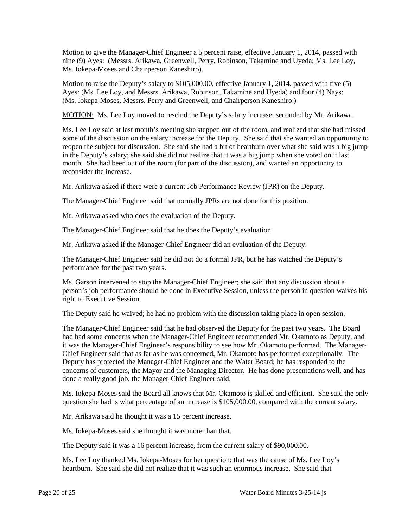Motion to give the Manager-Chief Engineer a 5 percent raise, effective January 1, 2014, passed with nine (9) Ayes: (Messrs. Arikawa, Greenwell, Perry, Robinson, Takamine and Uyeda; Ms. Lee Loy, Ms. Iokepa-Moses and Chairperson Kaneshiro).

Motion to raise the Deputy's salary to \$105,000.00, effective January 1, 2014, passed with five (5) Ayes: (Ms. Lee Loy, and Messrs. Arikawa, Robinson, Takamine and Uyeda) and four (4) Nays: (Ms. Iokepa-Moses, Messrs. Perry and Greenwell, and Chairperson Kaneshiro.)

MOTION: Ms. Lee Loy moved to rescind the Deputy's salary increase; seconded by Mr. Arikawa.

Ms. Lee Loy said at last month's meeting she stepped out of the room, and realized that she had missed some of the discussion on the salary increase for the Deputy. She said that she wanted an opportunity to reopen the subject for discussion. She said she had a bit of heartburn over what she said was a big jump in the Deputy's salary; she said she did not realize that it was a big jump when she voted on it last month. She had been out of the room (for part of the discussion), and wanted an opportunity to reconsider the increase.

Mr. Arikawa asked if there were a current Job Performance Review (JPR) on the Deputy.

The Manager-Chief Engineer said that normally JPRs are not done for this position.

Mr. Arikawa asked who does the evaluation of the Deputy.

The Manager-Chief Engineer said that he does the Deputy's evaluation.

Mr. Arikawa asked if the Manager-Chief Engineer did an evaluation of the Deputy.

The Manager-Chief Engineer said he did not do a formal JPR, but he has watched the Deputy's performance for the past two years.

Ms. Garson intervened to stop the Manager-Chief Engineer; she said that any discussion about a person's job performance should be done in Executive Session, unless the person in question waives his right to Executive Session.

The Deputy said he waived; he had no problem with the discussion taking place in open session.

The Manager-Chief Engineer said that he had observed the Deputy for the past two years. The Board had had some concerns when the Manager-Chief Engineer recommended Mr. Okamoto as Deputy, and it was the Manager-Chief Engineer's responsibility to see how Mr. Okamoto performed. The Manager-Chief Engineer said that as far as he was concerned, Mr. Okamoto has performed exceptionally. The Deputy has protected the Manager-Chief Engineer and the Water Board; he has responded to the concerns of customers, the Mayor and the Managing Director. He has done presentations well, and has done a really good job, the Manager-Chief Engineer said.

Ms. Iokepa-Moses said the Board all knows that Mr. Okamoto is skilled and efficient. She said the only question she had is what percentage of an increase is \$105,000.00, compared with the current salary.

Mr. Arikawa said he thought it was a 15 percent increase.

Ms. Iokepa-Moses said she thought it was more than that.

The Deputy said it was a 16 percent increase, from the current salary of \$90,000.00.

Ms. Lee Loy thanked Ms. Iokepa-Moses for her question; that was the cause of Ms. Lee Loy's heartburn. She said she did not realize that it was such an enormous increase. She said that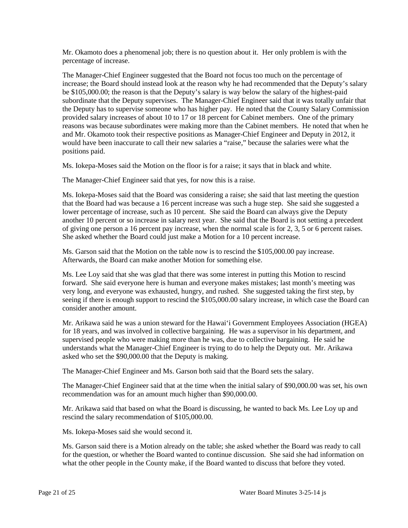Mr. Okamoto does a phenomenal job; there is no question about it. Her only problem is with the percentage of increase.

The Manager-Chief Engineer suggested that the Board not focus too much on the percentage of increase; the Board should instead look at the reason why he had recommended that the Deputy's salary be \$105,000.00; the reason is that the Deputy's salary is way below the salary of the highest-paid subordinate that the Deputy supervises. The Manager-Chief Engineer said that it was totally unfair that the Deputy has to supervise someone who has higher pay. He noted that the County Salary Commission provided salary increases of about 10 to 17 or 18 percent for Cabinet members. One of the primary reasons was because subordinates were making more than the Cabinet members. He noted that when he and Mr. Okamoto took their respective positions as Manager-Chief Engineer and Deputy in 2012, it would have been inaccurate to call their new salaries a "raise," because the salaries were what the positions paid.

Ms. Iokepa-Moses said the Motion on the floor is for a raise; it says that in black and white.

The Manager-Chief Engineer said that yes, for now this is a raise.

Ms. Iokepa-Moses said that the Board was considering a raise; she said that last meeting the question that the Board had was because a 16 percent increase was such a huge step. She said she suggested a lower percentage of increase, such as 10 percent. She said the Board can always give the Deputy another 10 percent or so increase in salary next year. She said that the Board is not setting a precedent of giving one person a 16 percent pay increase, when the normal scale is for 2, 3, 5 or 6 percent raises. She asked whether the Board could just make a Motion for a 10 percent increase.

Ms. Garson said that the Motion on the table now is to rescind the \$105,000.00 pay increase. Afterwards, the Board can make another Motion for something else.

Ms. Lee Loy said that she was glad that there was some interest in putting this Motion to rescind forward. She said everyone here is human and everyone makes mistakes; last month's meeting was very long, and everyone was exhausted, hungry, and rushed. She suggested taking the first step, by seeing if there is enough support to rescind the \$105,000.00 salary increase, in which case the Board can consider another amount.

Mr. Arikawa said he was a union steward for the Hawai'i Government Employees Association (HGEA) for 18 years, and was involved in collective bargaining. He was a supervisor in his department, and supervised people who were making more than he was, due to collective bargaining. He said he understands what the Manager-Chief Engineer is trying to do to help the Deputy out. Mr. Arikawa asked who set the \$90,000.00 that the Deputy is making.

The Manager-Chief Engineer and Ms. Garson both said that the Board sets the salary.

The Manager-Chief Engineer said that at the time when the initial salary of \$90,000.00 was set, his own recommendation was for an amount much higher than \$90,000.00.

Mr. Arikawa said that based on what the Board is discussing, he wanted to back Ms. Lee Loy up and rescind the salary recommendation of \$105,000.00.

Ms. Iokepa-Moses said she would second it.

Ms. Garson said there is a Motion already on the table; she asked whether the Board was ready to call for the question, or whether the Board wanted to continue discussion. She said she had information on what the other people in the County make, if the Board wanted to discuss that before they voted.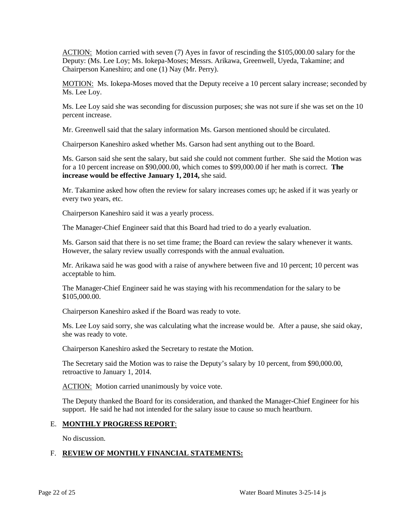ACTION: Motion carried with seven (7) Ayes in favor of rescinding the \$105,000.00 salary for the Deputy: (Ms. Lee Loy; Ms. Iokepa-Moses; Messrs. Arikawa, Greenwell, Uyeda, Takamine; and Chairperson Kaneshiro; and one (1) Nay (Mr. Perry).

MOTION: Ms. Iokepa-Moses moved that the Deputy receive a 10 percent salary increase; seconded by Ms. Lee Loy.

Ms. Lee Loy said she was seconding for discussion purposes; she was not sure if she was set on the 10 percent increase.

Mr. Greenwell said that the salary information Ms. Garson mentioned should be circulated.

Chairperson Kaneshiro asked whether Ms. Garson had sent anything out to the Board.

Ms. Garson said she sent the salary, but said she could not comment further. She said the Motion was for a 10 percent increase on \$90,000.00, which comes to \$99,000.00 if her math is correct. **The increase would be effective January 1, 2014,** she said.

Mr. Takamine asked how often the review for salary increases comes up; he asked if it was yearly or every two years, etc.

Chairperson Kaneshiro said it was a yearly process.

The Manager-Chief Engineer said that this Board had tried to do a yearly evaluation.

Ms. Garson said that there is no set time frame; the Board can review the salary whenever it wants. However, the salary review usually corresponds with the annual evaluation.

Mr. Arikawa said he was good with a raise of anywhere between five and 10 percent; 10 percent was acceptable to him.

The Manager-Chief Engineer said he was staying with his recommendation for the salary to be \$105,000.00.

Chairperson Kaneshiro asked if the Board was ready to vote.

Ms. Lee Loy said sorry, she was calculating what the increase would be. After a pause, she said okay, she was ready to vote.

Chairperson Kaneshiro asked the Secretary to restate the Motion.

The Secretary said the Motion was to raise the Deputy's salary by 10 percent, from \$90,000.00, retroactive to January 1, 2014.

ACTION: Motion carried unanimously by voice vote.

The Deputy thanked the Board for its consideration, and thanked the Manager-Chief Engineer for his support. He said he had not intended for the salary issue to cause so much heartburn.

#### E. **MONTHLY PROGRESS REPORT**:

No discussion.

# F. **REVIEW OF MONTHLY FINANCIAL STATEMENTS:**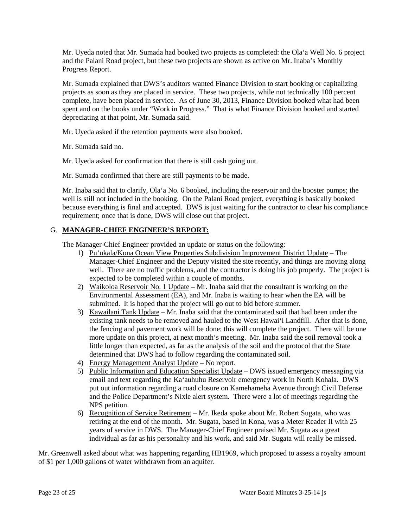Mr. Uyeda noted that Mr. Sumada had booked two projects as completed: the Ola'a Well No. 6 project and the Palani Road project, but these two projects are shown as active on Mr. Inaba's Monthly Progress Report.

Mr. Sumada explained that DWS's auditors wanted Finance Division to start booking or capitalizing projects as soon as they are placed in service. These two projects, while not technically 100 percent complete, have been placed in service. As of June 30, 2013, Finance Division booked what had been spent and on the books under "Work in Progress." That is what Finance Division booked and started depreciating at that point, Mr. Sumada said.

Mr. Uyeda asked if the retention payments were also booked.

Mr. Sumada said no.

Mr. Uyeda asked for confirmation that there is still cash going out.

Mr. Sumada confirmed that there are still payments to be made.

Mr. Inaba said that to clarify, Ola'a No. 6 booked, including the reservoir and the booster pumps; the well is still not included in the booking. On the Palani Road project, everything is basically booked because everything is final and accepted. DWS is just waiting for the contractor to clear his compliance requirement; once that is done, DWS will close out that project.

# G. **MANAGER-CHIEF ENGINEER'S REPORT:**

The Manager-Chief Engineer provided an update or status on the following:

- 1) Pu'ukala/Kona Ocean View Properties Subdivision Improvement District Update The Manager-Chief Engineer and the Deputy visited the site recently, and things are moving along well. There are no traffic problems, and the contractor is doing his job properly. The project is expected to be completed within a couple of months.
- 2) Waikoloa Reservoir No. 1 Update Mr. Inaba said that the consultant is working on the Environmental Assessment (EA), and Mr. Inaba is waiting to hear when the EA will be submitted. It is hoped that the project will go out to bid before summer.
- 3) Kawailani Tank Update Mr. Inaba said that the contaminated soil that had been under the existing tank needs to be removed and hauled to the West Hawai'i Landfill. After that is done, the fencing and pavement work will be done; this will complete the project. There will be one more update on this project, at next month's meeting. Mr. Inaba said the soil removal took a little longer than expected, as far as the analysis of the soil and the protocol that the State determined that DWS had to follow regarding the contaminated soil.
- 4) Energy Management Analyst Update No report.
- 5) Public Information and Education Specialist Update DWS issued emergency messaging via email and text regarding the Ka'auhuhu Reservoir emergency work in North Kohala. DWS put out information regarding a road closure on Kamehameha Avenue through Civil Defense and the Police Department's Nixle alert system. There were a lot of meetings regarding the NPS petition.
- 6) Recognition of Service Retirement Mr. Ikeda spoke about Mr. Robert Sugata, who was retiring at the end of the month. Mr. Sugata, based in Kona, was a Meter Reader II with 25 years of service in DWS. The Manager-Chief Engineer praised Mr. Sugata as a great individual as far as his personality and his work, and said Mr. Sugata will really be missed.

Mr. Greenwell asked about what was happening regarding HB1969, which proposed to assess a royalty amount of \$1 per 1,000 gallons of water withdrawn from an aquifer.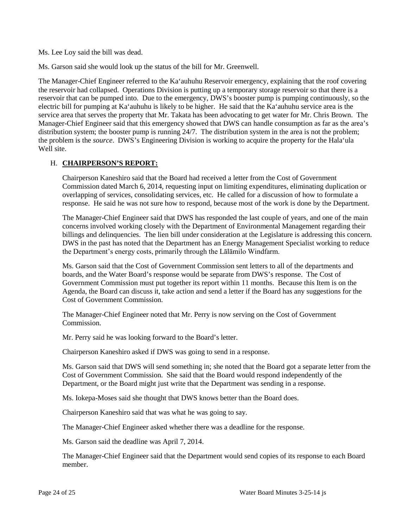Ms. Lee Loy said the bill was dead.

Ms. Garson said she would look up the status of the bill for Mr. Greenwell.

The Manager-Chief Engineer referred to the Ka'auhuhu Reservoir emergency, explaining that the roof covering the reservoir had collapsed. Operations Division is putting up a temporary storage reservoir so that there is a reservoir that can be pumped into. Due to the emergency, DWS's booster pump is pumping continuously, so the electric bill for pumping at Ka'auhuhu is likely to be higher. He said that the Ka'auhuhu service area is the service area that serves the property that Mr. Takata has been advocating to get water for Mr. Chris Brown. The Manager-Chief Engineer said that this emergency showed that DWS can handle consumption as far as the area's distribution system; the booster pump is running 24/7. The distribution system in the area is not the problem; the problem is the *source*. DWS's Engineering Division is working to acquire the property for the Hala'ula Well site.

#### H. **CHAIRPERSON'S REPORT:**

Chairperson Kaneshiro said that the Board had received a letter from the Cost of Government Commission dated March 6, 2014, requesting input on limiting expenditures, eliminating duplication or overlapping of services, consolidating services, etc. He called for a discussion of how to formulate a response. He said he was not sure how to respond, because most of the work is done by the Department.

The Manager-Chief Engineer said that DWS has responded the last couple of years, and one of the main concerns involved working closely with the Department of Environmental Management regarding their billings and delinquencies. The lien bill under consideration at the Legislature is addressing this concern. DWS in the past has noted that the Department has an Energy Management Specialist working to reduce the Department's energy costs, primarily through the Lālāmilo Windfarm.

Ms. Garson said that the Cost of Government Commission sent letters to all of the departments and boards, and the Water Board's response would be separate from DWS's response. The Cost of Government Commission must put together its report within 11 months. Because this Item is on the Agenda, the Board can discuss it, take action and send a letter if the Board has any suggestions for the Cost of Government Commission.

The Manager-Chief Engineer noted that Mr. Perry is now serving on the Cost of Government Commission.

Mr. Perry said he was looking forward to the Board's letter.

Chairperson Kaneshiro asked if DWS was going to send in a response.

Ms. Garson said that DWS will send something in; she noted that the Board got a separate letter from the Cost of Government Commission. She said that the Board would respond independently of the Department, or the Board might just write that the Department was sending in a response.

Ms. Iokepa-Moses said she thought that DWS knows better than the Board does.

Chairperson Kaneshiro said that was what he was going to say.

The Manager-Chief Engineer asked whether there was a deadline for the response.

Ms. Garson said the deadline was April 7, 2014.

The Manager-Chief Engineer said that the Department would send copies of its response to each Board member.